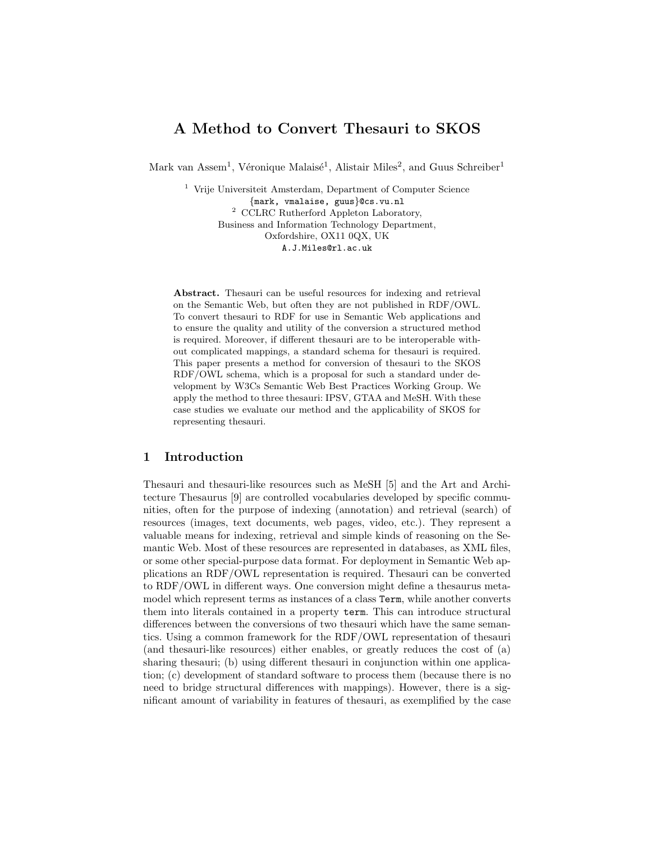# A Method to Convert Thesauri to SKOS

Mark van Assem<sup>1</sup>, Véronique Malaisé<sup>1</sup>, Alistair Miles<sup>2</sup>, and Guus Schreiber<sup>1</sup>

<sup>1</sup> Vrije Universiteit Amsterdam, Department of Computer Science {mark, vmalaise, guus}@cs.vu.nl <sup>2</sup> CCLRC Rutherford Appleton Laboratory, Business and Information Technology Department, Oxfordshire, OX11 0QX, UK A.J.Miles@rl.ac.uk

Abstract. Thesauri can be useful resources for indexing and retrieval on the Semantic Web, but often they are not published in RDF/OWL. To convert thesauri to RDF for use in Semantic Web applications and to ensure the quality and utility of the conversion a structured method is required. Moreover, if different thesauri are to be interoperable without complicated mappings, a standard schema for thesauri is required. This paper presents a method for conversion of thesauri to the SKOS RDF/OWL schema, which is a proposal for such a standard under development by W3Cs Semantic Web Best Practices Working Group. We apply the method to three thesauri: IPSV, GTAA and MeSH. With these case studies we evaluate our method and the applicability of SKOS for representing thesauri.

### 1 Introduction

Thesauri and thesauri-like resources such as MeSH [5] and the Art and Architecture Thesaurus [9] are controlled vocabularies developed by specific communities, often for the purpose of indexing (annotation) and retrieval (search) of resources (images, text documents, web pages, video, etc.). They represent a valuable means for indexing, retrieval and simple kinds of reasoning on the Semantic Web. Most of these resources are represented in databases, as XML files, or some other special-purpose data format. For deployment in Semantic Web applications an RDF/OWL representation is required. Thesauri can be converted to RDF/OWL in different ways. One conversion might define a thesaurus metamodel which represent terms as instances of a class Term, while another converts them into literals contained in a property term. This can introduce structural differences between the conversions of two thesauri which have the same semantics. Using a common framework for the RDF/OWL representation of thesauri (and thesauri-like resources) either enables, or greatly reduces the cost of (a) sharing thesauri; (b) using different thesauri in conjunction within one application; (c) development of standard software to process them (because there is no need to bridge structural differences with mappings). However, there is a significant amount of variability in features of thesauri, as exemplified by the case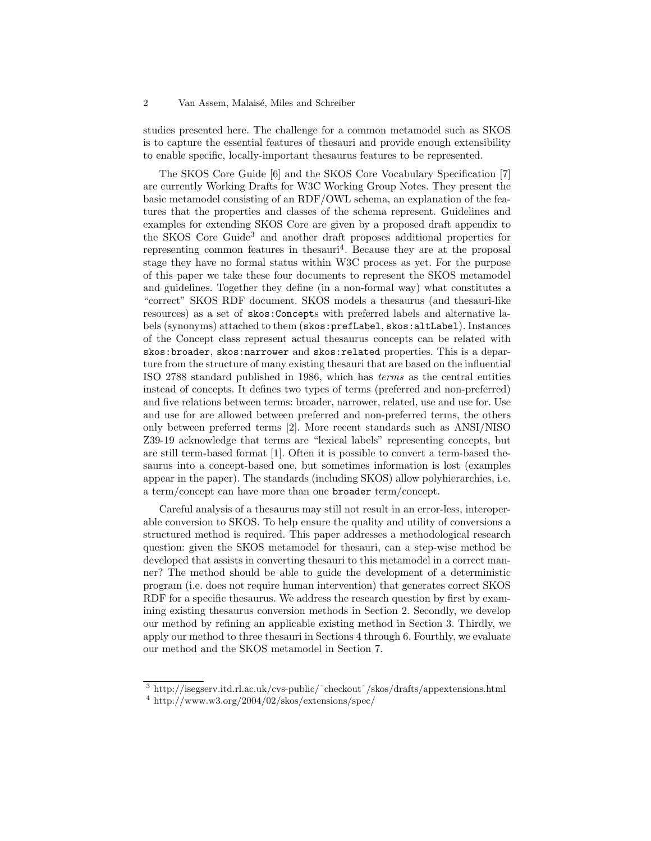studies presented here. The challenge for a common metamodel such as SKOS is to capture the essential features of thesauri and provide enough extensibility to enable specific, locally-important thesaurus features to be represented.

The SKOS Core Guide [6] and the SKOS Core Vocabulary Specification [7] are currently Working Drafts for W3C Working Group Notes. They present the basic metamodel consisting of an RDF/OWL schema, an explanation of the features that the properties and classes of the schema represent. Guidelines and examples for extending SKOS Core are given by a proposed draft appendix to the SKOS Core Guide<sup>3</sup> and another draft proposes additional properties for representing common features in the sauri<sup>4</sup>. Because they are at the proposal stage they have no formal status within W3C process as yet. For the purpose of this paper we take these four documents to represent the SKOS metamodel and guidelines. Together they define (in a non-formal way) what constitutes a "correct" SKOS RDF document. SKOS models a thesaurus (and thesauri-like resources) as a set of skos:Concepts with preferred labels and alternative labels (synonyms) attached to them (skos:prefLabel, skos:altLabel). Instances of the Concept class represent actual thesaurus concepts can be related with skos:broader, skos:narrower and skos:related properties. This is a departure from the structure of many existing thesauri that are based on the influential ISO 2788 standard published in 1986, which has terms as the central entities instead of concepts. It defines two types of terms (preferred and non-preferred) and five relations between terms: broader, narrower, related, use and use for. Use and use for are allowed between preferred and non-preferred terms, the others only between preferred terms [2]. More recent standards such as ANSI/NISO Z39-19 acknowledge that terms are "lexical labels" representing concepts, but are still term-based format [1]. Often it is possible to convert a term-based thesaurus into a concept-based one, but sometimes information is lost (examples appear in the paper). The standards (including SKOS) allow polyhierarchies, i.e. a term/concept can have more than one broader term/concept.

Careful analysis of a thesaurus may still not result in an error-less, interoperable conversion to SKOS. To help ensure the quality and utility of conversions a structured method is required. This paper addresses a methodological research question: given the SKOS metamodel for thesauri, can a step-wise method be developed that assists in converting thesauri to this metamodel in a correct manner? The method should be able to guide the development of a deterministic program (i.e. does not require human intervention) that generates correct SKOS RDF for a specific thesaurus. We address the research question by first by examining existing thesaurus conversion methods in Section 2. Secondly, we develop our method by refining an applicable existing method in Section 3. Thirdly, we apply our method to three thesauri in Sections 4 through 6. Fourthly, we evaluate our method and the SKOS metamodel in Section 7.

<sup>&</sup>lt;sup>3</sup> http://isegserv.itd.rl.ac.uk/cvs-public/~checkout~/skos/drafts/appextensions.html  $4 \text{ http://www.w3.org/2004/02/skos/extensions/spec/}$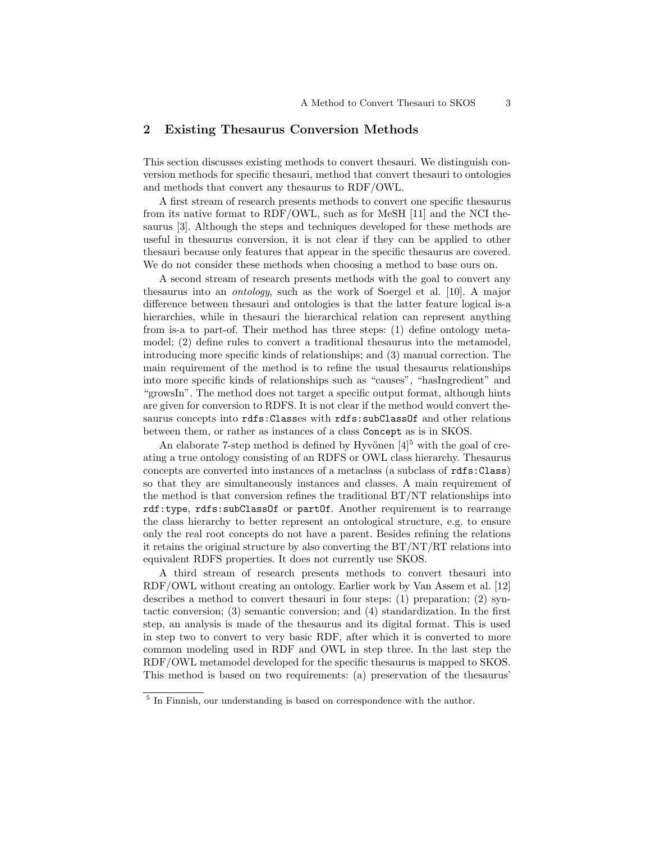### 2 Existing Thesaurus Conversion Methods

This section discusses existing methods to convert thesauri. We distinguish conversion methods for specific thesauri, method that convert thesauri to ontologies and methods that convert any thesaurus to RDF/OWL.

A first stream of research presents methods to convert one specific thesaurus from its native format to RDF/OWL, such as for MeSH [11] and the NCI thesaurus [3]. Although the steps and techniques developed for these methods are useful in thesaurus conversion, it is not clear if they can be applied to other thesauri because only features that appear in the specific thesaurus are covered. We do not consider these methods when choosing a method to base ours on.

A second stream of research presents methods with the goal to convert any thesaurus into an ontology, such as the work of Soergel et al. [10]. A major difference between thesauri and ontologies is that the latter feature logical is-a hierarchies, while in thesauri the hierarchical relation can represent anything from is-a to part-of. Their method has three steps: (1) define ontology metamodel; (2) define rules to convert a traditional thesaurus into the metamodel, introducing more specific kinds of relationships; and (3) manual correction. The main requirement of the method is to refine the usual thesaurus relationships into more specific kinds of relationships such as "causes", "hasIngredient" and "growsIn". The method does not target a specific output format, although hints are given for conversion to RDFS. It is not clear if the method would convert thesaurus concepts into rdfs: Classes with rdfs: subClassOf and other relations between them, or rather as instances of a class Concept as is in SKOS.

An elaborate 7-step method is defined by Hyvönen  $[4]^{5}$  with the goal of creating a true ontology consisting of an RDFS or OWL class hierarchy. Thesaurus concepts are converted into instances of a metaclass (a subclass of rdfs:Class) so that they are simultaneously instances and classes. A main requirement of the method is that conversion refines the traditional BT/NT relationships into rdf:type, rdfs:subClassOf or partOf. Another requirement is to rearrange the class hierarchy to better represent an ontological structure, e.g. to ensure only the real root concepts do not have a parent. Besides refining the relations it retains the original structure by also converting the BT/NT/RT relations into equivalent RDFS properties. It does not currently use SKOS.

A third stream of research presents methods to convert thesauri into RDF/OWL without creating an ontology. Earlier work by Van Assem et al. [12] describes a method to convert thesauri in four steps: (1) preparation; (2) syntactic conversion; (3) semantic conversion; and (4) standardization. In the first step, an analysis is made of the thesaurus and its digital format. This is used in step two to convert to very basic RDF, after which it is converted to more common modeling used in RDF and OWL in step three. In the last step the RDF/OWL metamodel developed for the specific thesaurus is mapped to SKOS. This method is based on two requirements: (a) preservation of the thesaurus'

<sup>&</sup>lt;sup>5</sup> In Finnish, our understanding is based on correspondence with the author.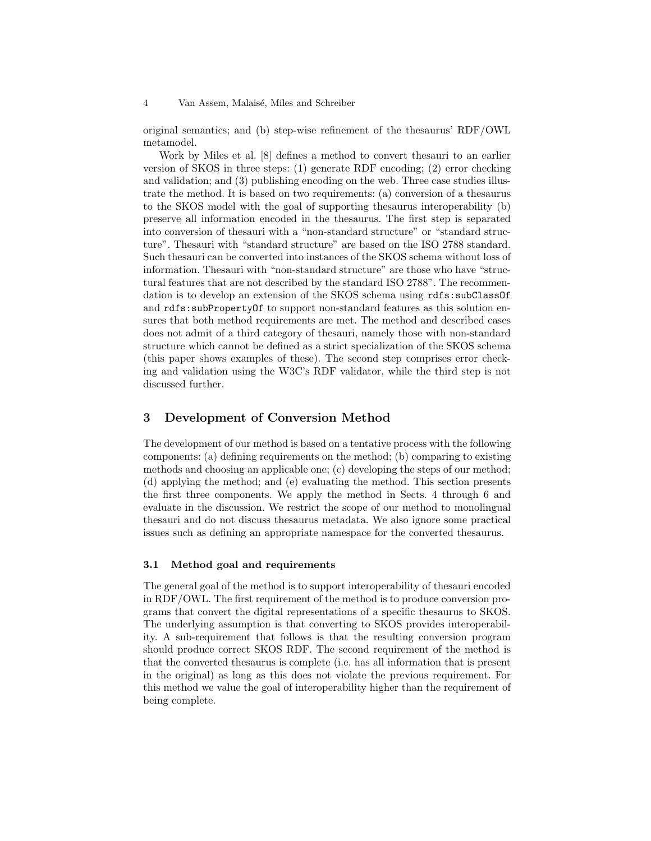original semantics; and (b) step-wise refinement of the thesaurus' RDF/OWL metamodel.

Work by Miles et al. [8] defines a method to convert thesauri to an earlier version of SKOS in three steps: (1) generate RDF encoding; (2) error checking and validation; and (3) publishing encoding on the web. Three case studies illustrate the method. It is based on two requirements: (a) conversion of a thesaurus to the SKOS model with the goal of supporting thesaurus interoperability (b) preserve all information encoded in the thesaurus. The first step is separated into conversion of thesauri with a "non-standard structure" or "standard structure". Thesauri with "standard structure" are based on the ISO 2788 standard. Such thesauri can be converted into instances of the SKOS schema without loss of information. Thesauri with "non-standard structure" are those who have "structural features that are not described by the standard ISO 2788". The recommendation is to develop an extension of the SKOS schema using rdfs:subClassOf and  $rdfs:subPropertyOf$  to support non-standard features as this solution ensures that both method requirements are met. The method and described cases does not admit of a third category of thesauri, namely those with non-standard structure which cannot be defined as a strict specialization of the SKOS schema (this paper shows examples of these). The second step comprises error checking and validation using the W3C's RDF validator, while the third step is not discussed further.

# 3 Development of Conversion Method

The development of our method is based on a tentative process with the following components: (a) defining requirements on the method; (b) comparing to existing methods and choosing an applicable one; (c) developing the steps of our method; (d) applying the method; and (e) evaluating the method. This section presents the first three components. We apply the method in Sects. 4 through 6 and evaluate in the discussion. We restrict the scope of our method to monolingual thesauri and do not discuss thesaurus metadata. We also ignore some practical issues such as defining an appropriate namespace for the converted thesaurus.

### 3.1 Method goal and requirements

The general goal of the method is to support interoperability of thesauri encoded in RDF/OWL. The first requirement of the method is to produce conversion programs that convert the digital representations of a specific thesaurus to SKOS. The underlying assumption is that converting to SKOS provides interoperability. A sub-requirement that follows is that the resulting conversion program should produce correct SKOS RDF. The second requirement of the method is that the converted thesaurus is complete (i.e. has all information that is present in the original) as long as this does not violate the previous requirement. For this method we value the goal of interoperability higher than the requirement of being complete.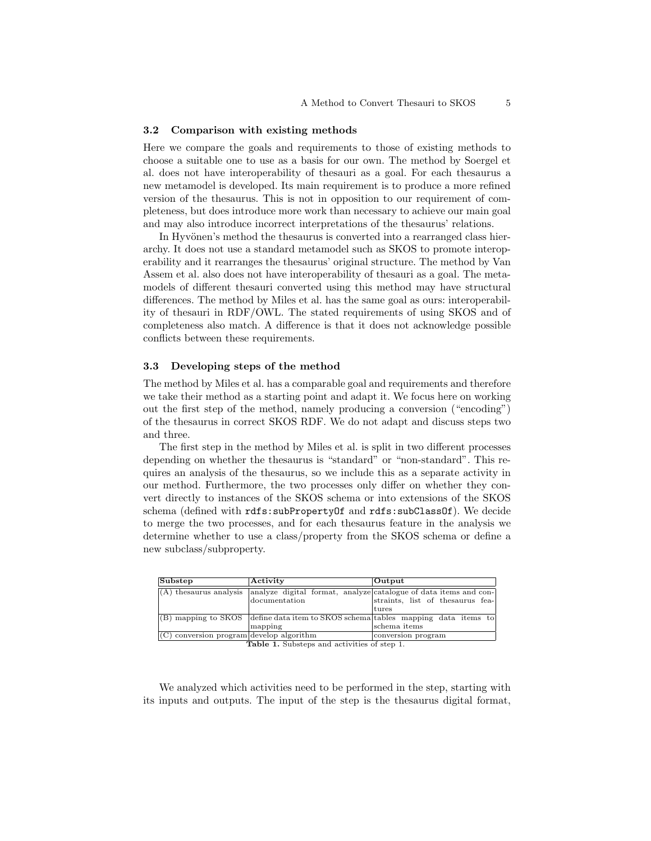### 3.2 Comparison with existing methods

Here we compare the goals and requirements to those of existing methods to choose a suitable one to use as a basis for our own. The method by Soergel et al. does not have interoperability of thesauri as a goal. For each thesaurus a new metamodel is developed. Its main requirement is to produce a more refined version of the thesaurus. This is not in opposition to our requirement of completeness, but does introduce more work than necessary to achieve our main goal and may also introduce incorrect interpretations of the thesaurus' relations.

In Hyvönen's method the thesaurus is converted into a rearranged class hierarchy. It does not use a standard metamodel such as SKOS to promote interoperability and it rearranges the thesaurus' original structure. The method by Van Assem et al. also does not have interoperability of thesauri as a goal. The metamodels of different thesauri converted using this method may have structural differences. The method by Miles et al. has the same goal as ours: interoperability of thesauri in RDF/OWL. The stated requirements of using SKOS and of completeness also match. A difference is that it does not acknowledge possible conflicts between these requirements.

### 3.3 Developing steps of the method

The method by Miles et al. has a comparable goal and requirements and therefore we take their method as a starting point and adapt it. We focus here on working out the first step of the method, namely producing a conversion ("encoding") of the thesaurus in correct SKOS RDF. We do not adapt and discuss steps two and three.

The first step in the method by Miles et al. is split in two different processes depending on whether the thesaurus is "standard" or "non-standard". This requires an analysis of the thesaurus, so we include this as a separate activity in our method. Furthermore, the two processes only differ on whether they convert directly to instances of the SKOS schema or into extensions of the SKOS schema (defined with rdfs:subPropertyOf and rdfs:subClassOf). We decide to merge the two processes, and for each thesaurus feature in the analysis we determine whether to use a class/property from the SKOS schema or define a new subclass/subproperty.

| Substep                                    | Activity      | Output                                                           |
|--------------------------------------------|---------------|------------------------------------------------------------------|
| $(A)$ these analysis                       |               | analyze digital format, analyze catalogue of data items and con- |
|                                            | documentation | straints, list of thesaurus fea-                                 |
|                                            |               | ltures                                                           |
| $  (B)$ mapping to SKOS                    |               | define data item to SKOS schema tables mapping data items to     |
|                                            | mapping       | schema items                                                     |
| $(C)$ conversion program develop algorithm |               | conversion program                                               |

Table 1. Substeps and activities of step 1.

We analyzed which activities need to be performed in the step, starting with its inputs and outputs. The input of the step is the thesaurus digital format,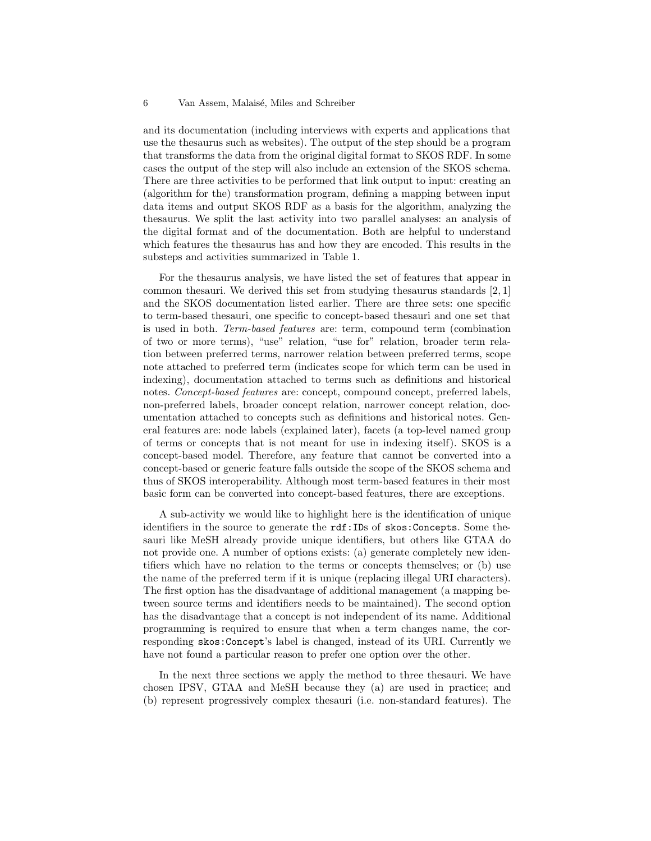and its documentation (including interviews with experts and applications that use the thesaurus such as websites). The output of the step should be a program that transforms the data from the original digital format to SKOS RDF. In some cases the output of the step will also include an extension of the SKOS schema. There are three activities to be performed that link output to input: creating an (algorithm for the) transformation program, defining a mapping between input data items and output SKOS RDF as a basis for the algorithm, analyzing the thesaurus. We split the last activity into two parallel analyses: an analysis of the digital format and of the documentation. Both are helpful to understand which features the thesaurus has and how they are encoded. This results in the substeps and activities summarized in Table 1.

For the thesaurus analysis, we have listed the set of features that appear in common thesauri. We derived this set from studying thesaurus standards [2, 1] and the SKOS documentation listed earlier. There are three sets: one specific to term-based thesauri, one specific to concept-based thesauri and one set that is used in both. Term-based features are: term, compound term (combination of two or more terms), "use" relation, "use for" relation, broader term relation between preferred terms, narrower relation between preferred terms, scope note attached to preferred term (indicates scope for which term can be used in indexing), documentation attached to terms such as definitions and historical notes. Concept-based features are: concept, compound concept, preferred labels, non-preferred labels, broader concept relation, narrower concept relation, documentation attached to concepts such as definitions and historical notes. General features are: node labels (explained later), facets (a top-level named group of terms or concepts that is not meant for use in indexing itself). SKOS is a concept-based model. Therefore, any feature that cannot be converted into a concept-based or generic feature falls outside the scope of the SKOS schema and thus of SKOS interoperability. Although most term-based features in their most basic form can be converted into concept-based features, there are exceptions.

A sub-activity we would like to highlight here is the identification of unique identifiers in the source to generate the rdf:IDs of skos:Concepts. Some thesauri like MeSH already provide unique identifiers, but others like GTAA do not provide one. A number of options exists: (a) generate completely new identifiers which have no relation to the terms or concepts themselves; or (b) use the name of the preferred term if it is unique (replacing illegal URI characters). The first option has the disadvantage of additional management (a mapping between source terms and identifiers needs to be maintained). The second option has the disadvantage that a concept is not independent of its name. Additional programming is required to ensure that when a term changes name, the corresponding skos:Concept's label is changed, instead of its URI. Currently we have not found a particular reason to prefer one option over the other.

In the next three sections we apply the method to three thesauri. We have chosen IPSV, GTAA and MeSH because they (a) are used in practice; and (b) represent progressively complex thesauri (i.e. non-standard features). The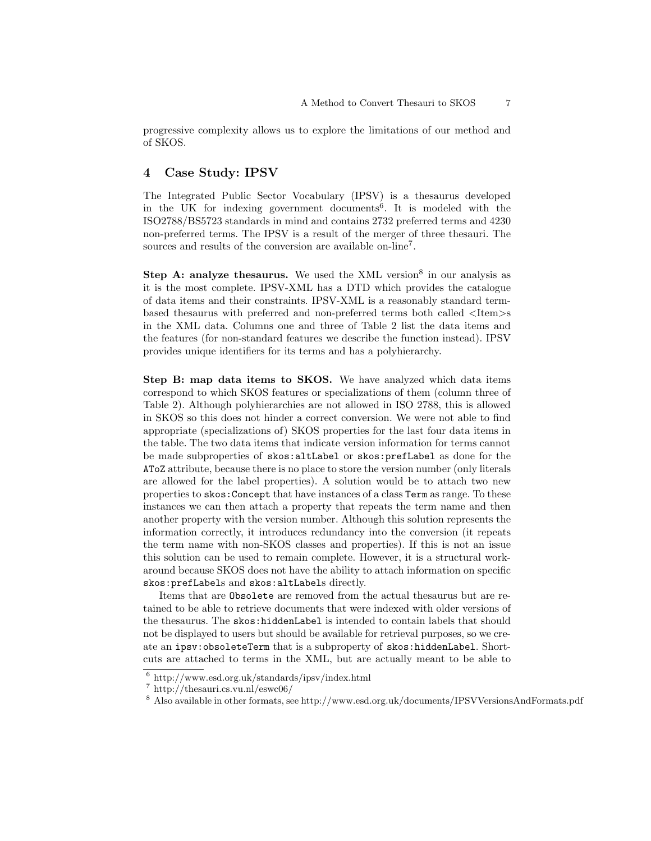progressive complexity allows us to explore the limitations of our method and of SKOS.

### 4 Case Study: IPSV

The Integrated Public Sector Vocabulary (IPSV) is a thesaurus developed in the UK for indexing government documents<sup>6</sup>. It is modeled with the ISO2788/BS5723 standards in mind and contains 2732 preferred terms and 4230 non-preferred terms. The IPSV is a result of the merger of three thesauri. The sources and results of the conversion are available on-line<sup>7</sup>.

Step A: analyze thesaurus. We used the XML version<sup>8</sup> in our analysis as it is the most complete. IPSV-XML has a DTD which provides the catalogue of data items and their constraints. IPSV-XML is a reasonably standard termbased thesaurus with preferred and non-preferred terms both called <Item>s in the XML data. Columns one and three of Table 2 list the data items and the features (for non-standard features we describe the function instead). IPSV provides unique identifiers for its terms and has a polyhierarchy.

Step B: map data items to SKOS. We have analyzed which data items correspond to which SKOS features or specializations of them (column three of Table 2). Although polyhierarchies are not allowed in ISO 2788, this is allowed in SKOS so this does not hinder a correct conversion. We were not able to find appropriate (specializations of) SKOS properties for the last four data items in the table. The two data items that indicate version information for terms cannot be made subproperties of skos:altLabel or skos:prefLabel as done for the AToZ attribute, because there is no place to store the version number (only literals are allowed for the label properties). A solution would be to attach two new properties to skos:Concept that have instances of a class Term as range. To these instances we can then attach a property that repeats the term name and then another property with the version number. Although this solution represents the information correctly, it introduces redundancy into the conversion (it repeats the term name with non-SKOS classes and properties). If this is not an issue this solution can be used to remain complete. However, it is a structural workaround because SKOS does not have the ability to attach information on specific skos:prefLabels and skos:altLabels directly.

Items that are Obsolete are removed from the actual thesaurus but are retained to be able to retrieve documents that were indexed with older versions of the thesaurus. The skos:hiddenLabel is intended to contain labels that should not be displayed to users but should be available for retrieval purposes, so we create an ipsv:obsoleteTerm that is a subproperty of skos:hiddenLabel. Shortcuts are attached to terms in the XML, but are actually meant to be able to

 $6$  http://www.esd.org.uk/standards/ipsv/index.html

<sup>7</sup> http://thesauri.cs.vu.nl/eswc06/

<sup>8</sup> Also available in other formats, see http://www.esd.org.uk/documents/IPSVVersionsAndFormats.pdf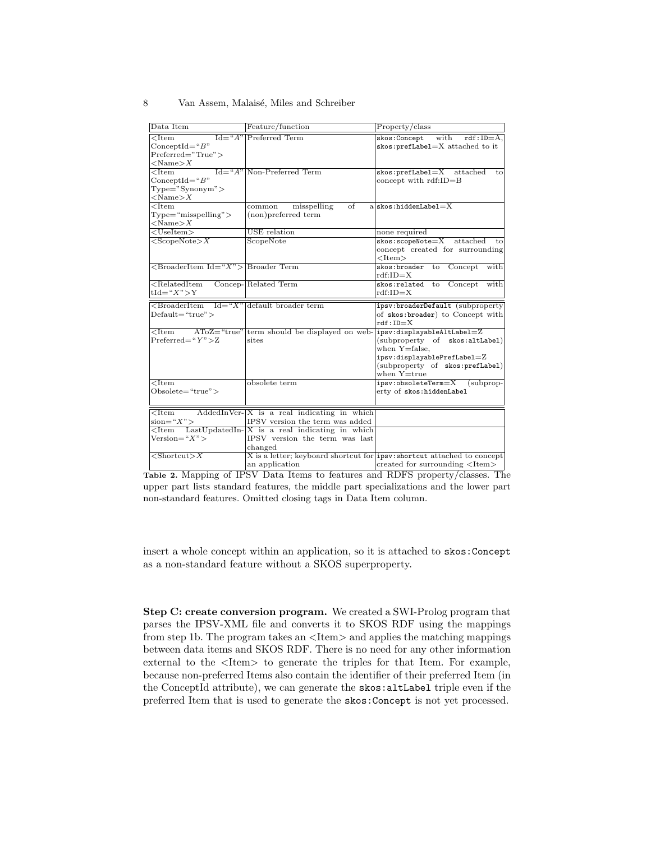| Data Item                                                                               | Feature/function                                                                             | Property/class                                                                                                                                                     |
|-----------------------------------------------------------------------------------------|----------------------------------------------------------------------------------------------|--------------------------------------------------------------------------------------------------------------------------------------------------------------------|
| $\overline{$ -Item<br>$ConceptId = "B"$<br>Preferred="True"><br>$<$ Name $>$ X          | $Id = "A"$ Preferred Term                                                                    | skos: Concept<br>with<br>$\texttt{rdf}: \texttt{ID} = \texttt{A},$<br>skos: prefLabel=X attached to it                                                             |
| $\overline{$ -Item<br>$ConceptId = "B"$<br>$Type="Symonym"$<br>$<$ Name $>$ X           | $Id = "A"$ Non-Preferred Term                                                                | skos:prefLabel=X attached<br>to<br>concept with $\text{rdf:ID=B}$                                                                                                  |
| $\overline{$ -Item<br>$Type="misspelling"$<br>$<$ Name $>$ X                            | misspelling<br>of<br>common<br>(non)preferred term                                           | $a$ skos: hiddenLabel = X                                                                                                                                          |
| $\overline{<}$ UseItem $>$                                                              | <b>USE</b> relation                                                                          | none required                                                                                                                                                      |
| $<$ ScopeNote $>$ X                                                                     | ScopeNote                                                                                    | $skos:scopeNote = X$ attached<br>to<br>concept created for surrounding<br>$<$ Item $>$                                                                             |
| $\langle$ BroaderItem Id=" $X$ "> Broader Term                                          |                                                                                              | skos:broader<br>Concept<br>$\mathbf{to}$<br>with<br>$\text{rdf:ID=}X$                                                                                              |
| $<$ RelatedItem<br>$tId = "X" > Y$                                                      | Concep-Related Term                                                                          | Concept<br>skos:related<br>with<br>$\mathbf{t}$<br>$\text{rdf:ID=X}$                                                                                               |
| $\overline{\mathcal{B}}$ roaderItem Id="X" default broader term<br>$Default = "true" >$ |                                                                                              | ipsv:broaderDefault (subproperty<br>of skos: broader) to Concept with<br>$\text{rdf}:\text{ID}=\text{X}$                                                           |
| $\overline{$ -Item<br>$Preferred="Y" > Z$                                               | AToZ="true" term should be displayed on web-<br>sites                                        | ipsv:displayableAltLabel=Z<br>(subproperty of skos:altLabel)<br>when Y=false,<br>ipsv:displayablePrefLabel=Z<br>(subproperty of skos: prefLabel)<br>when $Y=$ true |
| $\overline{$ -Item<br>$Obsolete="true"$                                                 | obsolete term                                                                                | ipsv:obsoleteTerm=X<br>$(subprop-$<br>erty of skos: hiddenLabel                                                                                                    |
| $\overline{$ -Item                                                                      | $AddedInVer- X$ is a real indicating in which                                                |                                                                                                                                                                    |
| $sion="X">$                                                                             | IPSV version the term was added                                                              |                                                                                                                                                                    |
| $\overline{$ -Item<br>$Version="X">$                                                    | $LastUpdateIn- X$ is a real indicating in which<br>IPSV version the term was last<br>changed |                                                                                                                                                                    |
| $\leq$ Shortcut $>$ X                                                                   |                                                                                              | X is a letter; keyboard shortcut for ipsy: shortcut attached to concept                                                                                            |

Table 2. Mapping of IPSV Data Items to features and RDFS property/classes. The upper part lists standard features, the middle part specializations and the lower part non-standard features. Omitted closing tags in Data Item column.

insert a whole concept within an application, so it is attached to skos:Concept as a non-standard feature without a SKOS superproperty.

Step C: create conversion program. We created a SWI-Prolog program that parses the IPSV-XML file and converts it to SKOS RDF using the mappings from step 1b. The program takes an  $\langle$ Item $\rangle$  and applies the matching mappings between data items and SKOS RDF. There is no need for any other information external to the  $\langle$ Item $\rangle$  to generate the triples for that Item. For example, because non-preferred Items also contain the identifier of their preferred Item (in the ConceptId attribute), we can generate the skos:altLabel triple even if the preferred Item that is used to generate the skos:Concept is not yet processed.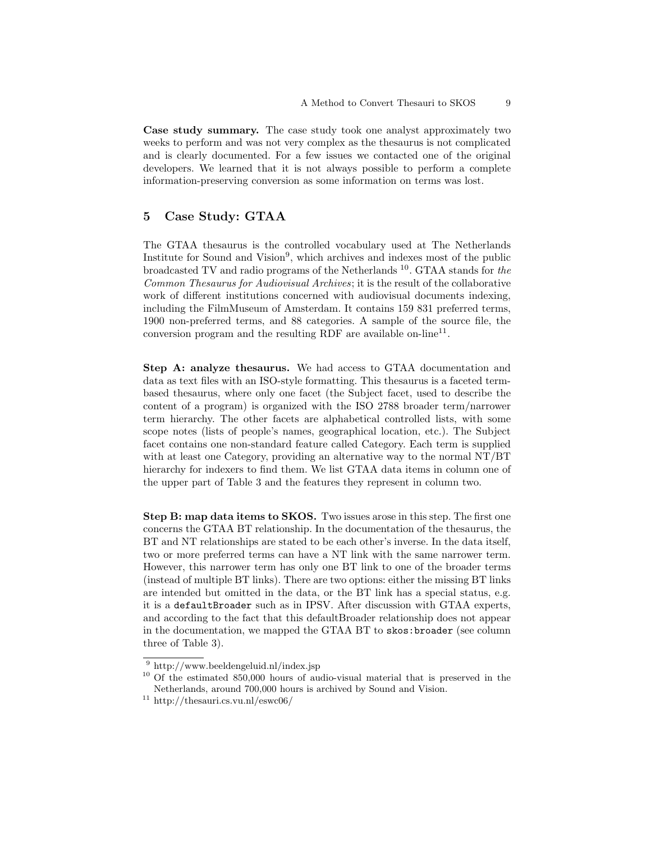Case study summary. The case study took one analyst approximately two weeks to perform and was not very complex as the thesaurus is not complicated and is clearly documented. For a few issues we contacted one of the original developers. We learned that it is not always possible to perform a complete information-preserving conversion as some information on terms was lost.

# 5 Case Study: GTAA

The GTAA thesaurus is the controlled vocabulary used at The Netherlands Institute for Sound and Vision<sup>9</sup>, which archives and indexes most of the public broadcasted TV and radio programs of the Netherlands <sup>10</sup>. GTAA stands for the Common Thesaurus for Audiovisual Archives; it is the result of the collaborative work of different institutions concerned with audiovisual documents indexing, including the FilmMuseum of Amsterdam. It contains 159 831 preferred terms, 1900 non-preferred terms, and 88 categories. A sample of the source file, the conversion program and the resulting RDF are available on-line<sup>11</sup>.

Step A: analyze thesaurus. We had access to GTAA documentation and data as text files with an ISO-style formatting. This thesaurus is a faceted termbased thesaurus, where only one facet (the Subject facet, used to describe the content of a program) is organized with the ISO 2788 broader term/narrower term hierarchy. The other facets are alphabetical controlled lists, with some scope notes (lists of people's names, geographical location, etc.). The Subject facet contains one non-standard feature called Category. Each term is supplied with at least one Category, providing an alternative way to the normal NT/BT hierarchy for indexers to find them. We list GTAA data items in column one of the upper part of Table 3 and the features they represent in column two.

Step B: map data items to SKOS. Two issues arose in this step. The first one concerns the GTAA BT relationship. In the documentation of the thesaurus, the BT and NT relationships are stated to be each other's inverse. In the data itself, two or more preferred terms can have a NT link with the same narrower term. However, this narrower term has only one BT link to one of the broader terms (instead of multiple BT links). There are two options: either the missing BT links are intended but omitted in the data, or the BT link has a special status, e.g. it is a defaultBroader such as in IPSV. After discussion with GTAA experts, and according to the fact that this defaultBroader relationship does not appear in the documentation, we mapped the GTAA BT to skos:broader (see column three of Table 3).

<sup>9</sup> http://www.beeldengeluid.nl/index.jsp

<sup>10</sup> Of the estimated 850,000 hours of audio-visual material that is preserved in the Netherlands, around 700,000 hours is archived by Sound and Vision.

 $11$  http://thesauri.cs.vu.nl/eswc06/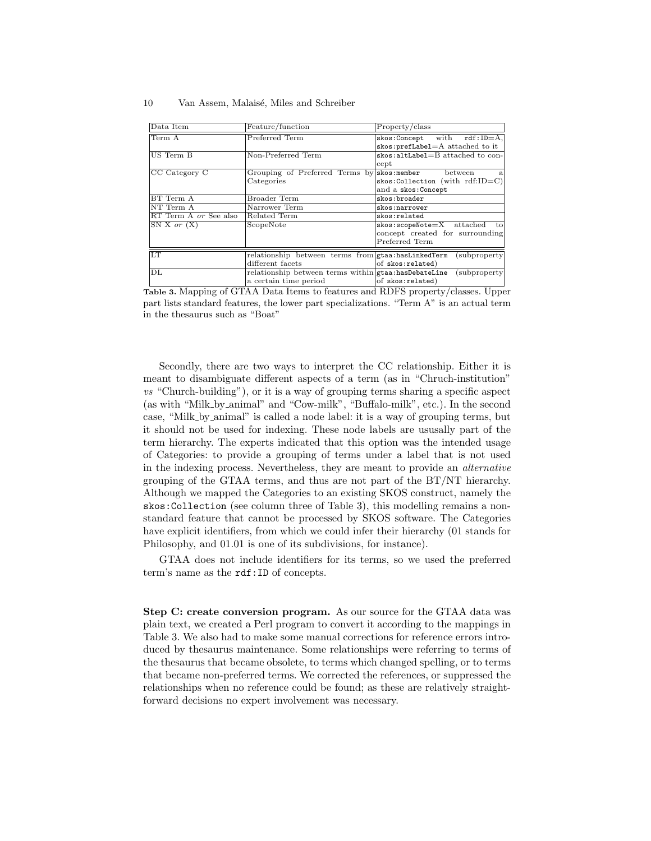| Data Item             | Feature/function                                      | Property/class                       |
|-----------------------|-------------------------------------------------------|--------------------------------------|
| Term A                | Preferred Term                                        | $skos:Concept$ with $rdf:ID=A$ ,     |
|                       |                                                       | $skos:prefLabel=A$ attached to it    |
| US Term B             | Non-Preferred Term                                    | skos:altLabel=B attached to con-     |
|                       |                                                       | cept                                 |
| CC Category C         | Grouping of Preferred Terms by skos:member            | between<br>a                         |
|                       | Categories                                            | $skos:Collection$ (with $rdf:ID=C$ ) |
|                       |                                                       | and a skos: Concept                  |
| $BT$ Term $A$         | <b>Broader Term</b>                                   | skos: broader                        |
| NT Term A             | Narrower Term                                         | skos:narrower                        |
| RT Term A or See also | Related Term                                          | skos:related                         |
| SN X or (X)           | ScopeNote                                             | skos:scopeNote=X attached<br>to      |
|                       |                                                       | concept created for surrounding      |
|                       |                                                       | Preferred Term                       |
| ĪП                    |                                                       |                                      |
|                       | relationship between terms from gtaa: hasLinkedTerm   | (subproperty)                        |
|                       | different facets                                      | of skos:related)                     |
| $\overline{\rm{DL}}$  | relationship between terms within gtaa: hasDebateLine | (subproperty)                        |
|                       | a certain time period                                 | of skos:related)                     |

Table 3. Mapping of GTAA Data Items to features and RDFS property/classes. Upper part lists standard features, the lower part specializations. "Term A" is an actual term in the thesaurus such as "Boat"

Secondly, there are two ways to interpret the CC relationship. Either it is meant to disambiguate different aspects of a term (as in "Chruch-institution" vs "Church-building"), or it is a way of grouping terms sharing a specific aspect (as with "Milk by animal" and "Cow-milk", "Buffalo-milk", etc.). In the second case, "Milk by animal" is called a node label: it is a way of grouping terms, but it should not be used for indexing. These node labels are ususally part of the term hierarchy. The experts indicated that this option was the intended usage of Categories: to provide a grouping of terms under a label that is not used in the indexing process. Nevertheless, they are meant to provide an alternative grouping of the GTAA terms, and thus are not part of the BT/NT hierarchy. Although we mapped the Categories to an existing SKOS construct, namely the skos:Collection (see column three of Table 3), this modelling remains a nonstandard feature that cannot be processed by SKOS software. The Categories have explicit identifiers, from which we could infer their hierarchy (01 stands for Philosophy, and 01.01 is one of its subdivisions, for instance).

GTAA does not include identifiers for its terms, so we used the preferred term's name as the rdf:ID of concepts.

Step C: create conversion program. As our source for the GTAA data was plain text, we created a Perl program to convert it according to the mappings in Table 3. We also had to make some manual corrections for reference errors introduced by thesaurus maintenance. Some relationships were referring to terms of the thesaurus that became obsolete, to terms which changed spelling, or to terms that became non-preferred terms. We corrected the references, or suppressed the relationships when no reference could be found; as these are relatively straightforward decisions no expert involvement was necessary.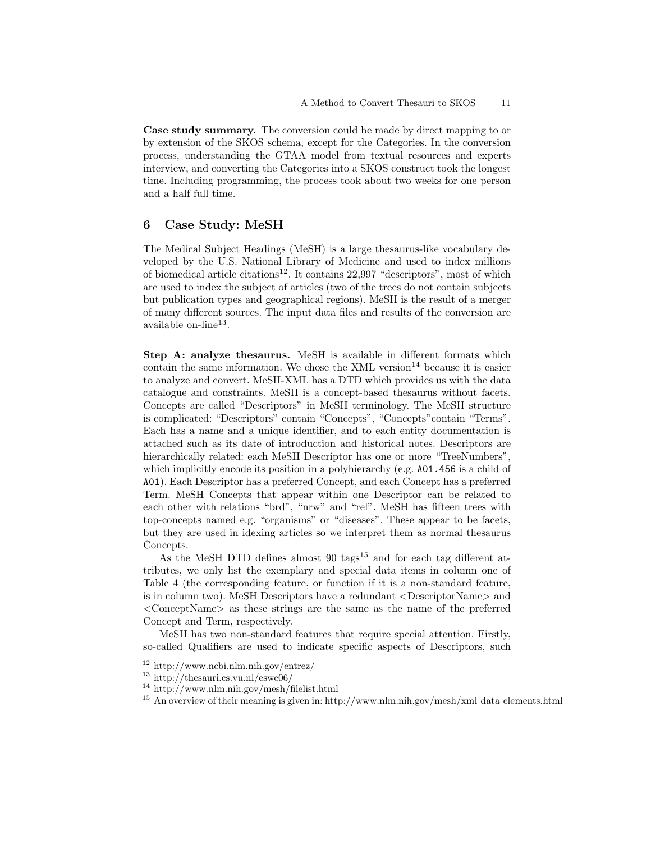Case study summary. The conversion could be made by direct mapping to or by extension of the SKOS schema, except for the Categories. In the conversion process, understanding the GTAA model from textual resources and experts interview, and converting the Categories into a SKOS construct took the longest time. Including programming, the process took about two weeks for one person and a half full time.

# 6 Case Study: MeSH

The Medical Subject Headings (MeSH) is a large thesaurus-like vocabulary developed by the U.S. National Library of Medicine and used to index millions of biomedical article citations<sup>12</sup>. It contains  $22,997$  "descriptors", most of which are used to index the subject of articles (two of the trees do not contain subjects but publication types and geographical regions). MeSH is the result of a merger of many different sources. The input data files and results of the conversion are available on-line<sup>13</sup>.

Step A: analyze thesaurus. MeSH is available in different formats which contain the same information. We chose the XML version<sup>14</sup> because it is easier to analyze and convert. MeSH-XML has a DTD which provides us with the data catalogue and constraints. MeSH is a concept-based thesaurus without facets. Concepts are called "Descriptors" in MeSH terminology. The MeSH structure is complicated: "Descriptors" contain "Concepts", "Concepts" contain "Terms". Each has a name and a unique identifier, and to each entity documentation is attached such as its date of introduction and historical notes. Descriptors are hierarchically related: each MeSH Descriptor has one or more "TreeNumbers", which implicitly encode its position in a polyhierarchy (e.g.  $A01.456$  is a child of A01). Each Descriptor has a preferred Concept, and each Concept has a preferred Term. MeSH Concepts that appear within one Descriptor can be related to each other with relations "brd", "nrw" and "rel". MeSH has fifteen trees with top-concepts named e.g. "organisms" or "diseases". These appear to be facets, but they are used in idexing articles so we interpret them as normal thesaurus Concepts.

As the MeSH DTD defines almost  $90 \text{ tags}^{15}$  and for each tag different attributes, we only list the exemplary and special data items in column one of Table 4 (the corresponding feature, or function if it is a non-standard feature, is in column two). MeSH Descriptors have a redundant <DescriptorName> and <ConceptName> as these strings are the same as the name of the preferred Concept and Term, respectively.

MeSH has two non-standard features that require special attention. Firstly, so-called Qualifiers are used to indicate specific aspects of Descriptors, such

 $\frac{12 \text{ http://www.ncbi.nlm.nih.gov/entrez/}}{12}$ 

<sup>13</sup> http://thesauri.cs.vu.nl/eswc06/

<sup>14</sup> http://www.nlm.nih.gov/mesh/filelist.html

<sup>15</sup> An overview of their meaning is given in: http://www.nlm.nih.gov/mesh/xml data elements.html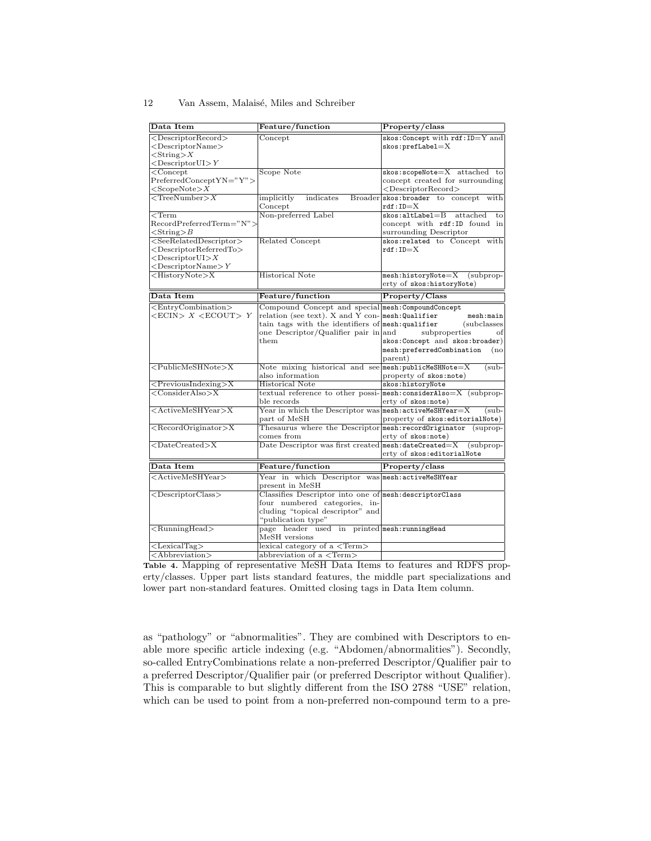| Data Item                                                                            | Feature/function                                        | Property/class                                                 |
|--------------------------------------------------------------------------------------|---------------------------------------------------------|----------------------------------------------------------------|
| $\leq$ DescriptorRecord $>$                                                          | $\overline{\text{Concept}}$                             | skos: Concept with rdf: ID=Y and                               |
| <descriptorname></descriptorname>                                                    |                                                         | $skos: prefLabel = X$                                          |
| $\leq$ String $\geq$ X                                                               |                                                         |                                                                |
| $<$ DescriptorUI $>$ Y                                                               |                                                         |                                                                |
| $\mathcal{C}$ oncept                                                                 | Scope Note                                              | skos:scopeNote=X attached to                                   |
| $\label{eq:referredConceptYN} \ensuremath{\textsc{PerfectConceptYN}}\xspace = "Y" >$ |                                                         | concept created for surrounding                                |
| $<$ ScopeNote $>$ X                                                                  |                                                         | <descriptorrecord></descriptorrecord>                          |
| $\overline{<}$ TreeNumber $\overline{>}X$                                            | implicitly<br>indicates                                 | Broader skos: broader to concept with                          |
|                                                                                      | Concept                                                 | $\text{rdf}:\text{ID}=\text{X}$                                |
| $<$ Term                                                                             | Non-preferred Label                                     | $skos:altLabel = B$<br>attached<br>to                          |
| RecordPreferredTerm="N">                                                             |                                                         | concept with rdf:ID found in                                   |
| $\langle$ String $\rangle$ B                                                         |                                                         | surrounding Descriptor                                         |
| $\leq$ SeeRelatedDescriptor $>$                                                      | <b>Related Concept</b>                                  | skos: related to Concept with                                  |
| <descriptorreferredto></descriptorreferredto>                                        |                                                         | $\texttt{rdf}:\texttt{ID}{=}\text{X}$                          |
| $<$ DescriptorUI $>$ X                                                               |                                                         |                                                                |
| $<$ DescriptorName $>$ Y                                                             |                                                         |                                                                |
| <historynote>X</historynote>                                                         | <b>Historical Note</b>                                  | $mesh:historyNote = X$<br>$(subprop-$                          |
|                                                                                      |                                                         | erty of skos: historyNote)                                     |
| Data Item                                                                            | Feature/function                                        | Property/Class                                                 |
| $\leq$ EntryCombination>                                                             | Compound Concept and special mesh: CompoundConcept      |                                                                |
| $<$ ECIN> $X$ $<$ ECOUT> $Y$                                                         | relation (see text). X and Y con- mesh: Qualifier       | mesh: main                                                     |
|                                                                                      | tain tags with the identifiers of mesh:qualifier        | <i>(subclasses)</i>                                            |
|                                                                                      | one Descriptor/Qualifier pair in and                    | subproperties<br>οf                                            |
|                                                                                      | them                                                    | skos: Concept and skos: broader)                               |
|                                                                                      |                                                         | mesh:preferredCombination<br>(no                               |
|                                                                                      |                                                         | parent)                                                        |
| <publicmeshnote>X</publicmeshnote>                                                   | Note mixing historical and see mesh: publicMeSHNote=X   | (sub-                                                          |
|                                                                                      | also information                                        | property of skos:note)                                         |
| $\langle$ PreviousIndexing $\geq$ X                                                  | <b>Historical Note</b>                                  | skos: historyNote                                              |
| <consideralso>X</consideralso>                                                       | textual reference to other possi-                       | mesh: considerAlso=X (subprop-                                 |
|                                                                                      | ble records                                             | erty of skos:note)                                             |
| $\leq$ ActiveMeSHYear $>$ X                                                          | Year in which the Descriptor was mesh: activeMeSHYear=X | $(sub -$                                                       |
|                                                                                      | part of MeSH                                            | property of skos: editorialNote)                               |
| $<$ RecordOriginator>X                                                               |                                                         | Thesaurus where the Descriptor mesh: recordOriginator (suprop- |
|                                                                                      | comes from                                              | erty of skos:note)                                             |
| $\overline{\text{ $                                                                  |                                                         | Date Descriptor was first created mesh:dateCreated=X (subprop- |
|                                                                                      |                                                         | erty of skos:editorialNote                                     |
| Data Item                                                                            | Feature/function                                        | Property/class                                                 |
| <activemeshyear></activemeshyear>                                                    | Year in which Descriptor was mesh: activeMeSHYear       |                                                                |
|                                                                                      | present in MeSH                                         |                                                                |
| <descriptorclass></descriptorclass>                                                  | Classifies Descriptor into one of mesh: descriptorClass |                                                                |
|                                                                                      | four numbered categories, in-                           |                                                                |
|                                                                                      | cluding "topical descriptor" and                        |                                                                |
|                                                                                      | "publication type"                                      |                                                                |
| $\overline{\langle \text{RunningHead} \rangle}$                                      | page header used in printed mesh: running Head          |                                                                |
|                                                                                      | MeSH versions                                           |                                                                |
| $\langle$ LexicalTag $\rangle$                                                       | lexical category of a $\langle Term \rangle$            |                                                                |
| $\leq$ Abbreviation $>$                                                              | abbreviation of a $\langle \text{Term} \rangle$         |                                                                |

Table 4. Mapping of representative MeSH Data Items to features and RDFS property/classes. Upper part lists standard features, the middle part specializations and lower part non-standard features. Omitted closing tags in Data Item column.

as "pathology" or "abnormalities". They are combined with Descriptors to enable more specific article indexing (e.g. "Abdomen/abnormalities"). Secondly, so-called EntryCombinations relate a non-preferred Descriptor/Qualifier pair to a preferred Descriptor/Qualifier pair (or preferred Descriptor without Qualifier). This is comparable to but slightly different from the ISO 2788 "USE" relation, which can be used to point from a non-preferred non-compound term to a pre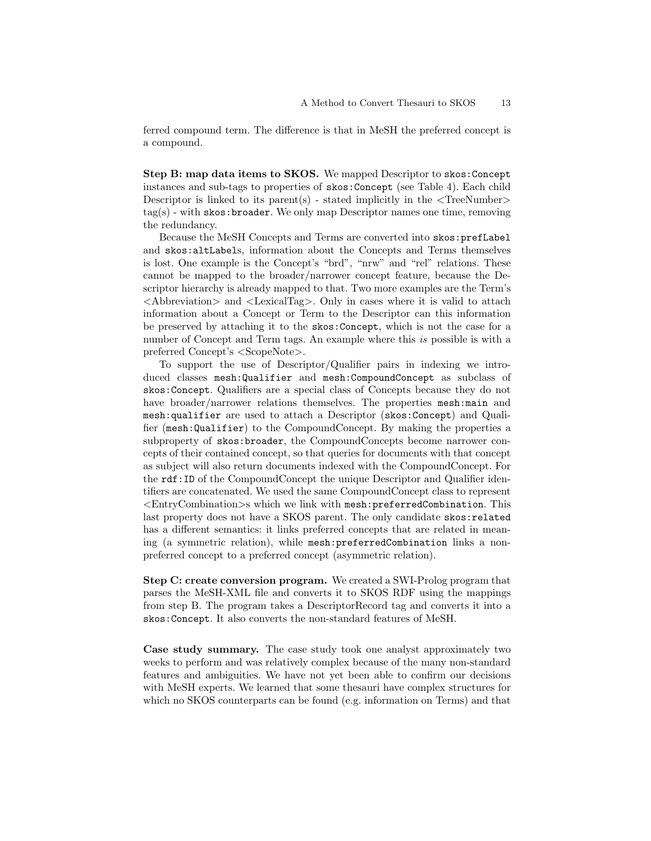ferred compound term. The difference is that in MeSH the preferred concept is a compound.

Step B: map data items to SKOS. We mapped Descriptor to skos:Concept instances and sub-tags to properties of skos:Concept (see Table 4). Each child Descriptor is linked to its parent(s) - stated implicitly in the  $\langle$ TreeNumber $\rangle$ tag(s) - with skos:broader. We only map Descriptor names one time, removing the redundancy.

Because the MeSH Concepts and Terms are converted into skos:prefLabel and skos:altLabels, information about the Concepts and Terms themselves is lost. One example is the Concept's "brd", "nrw" and "rel" relations. These cannot be mapped to the broader/narrower concept feature, because the Descriptor hierarchy is already mapped to that. Two more examples are the Term's  $\langle$ Abbreviation $\rangle$  and  $\langle$ LexicalTag $\rangle$ . Only in cases where it is valid to attach information about a Concept or Term to the Descriptor can this information be preserved by attaching it to the skos:Concept, which is not the case for a number of Concept and Term tags. An example where this is possible is with a preferred Concept's <ScopeNote>.

To support the use of Descriptor/Qualifier pairs in indexing we introduced classes mesh:Qualifier and mesh:CompoundConcept as subclass of skos:Concept. Qualifiers are a special class of Concepts because they do not have broader/narrower relations themselves. The properties mesh:main and mesh:qualifier are used to attach a Descriptor (skos:Concept) and Qualifier (mesh:Qualifier) to the CompoundConcept. By making the properties a subproperty of skos:broader, the CompoundConcepts become narrower concepts of their contained concept, so that queries for documents with that concept as subject will also return documents indexed with the CompoundConcept. For the rdf:ID of the CompoundConcept the unique Descriptor and Qualifier identifiers are concatenated. We used the same CompoundConcept class to represent <EntryCombination>s which we link with mesh:preferredCombination. This last property does not have a SKOS parent. The only candidate skos:related has a different semantics: it links preferred concepts that are related in meaning (a symmetric relation), while mesh:preferredCombination links a nonpreferred concept to a preferred concept (asymmetric relation).

Step C: create conversion program. We created a SWI-Prolog program that parses the MeSH-XML file and converts it to SKOS RDF using the mappings from step B. The program takes a DescriptorRecord tag and converts it into a skos:Concept. It also converts the non-standard features of MeSH.

Case study summary. The case study took one analyst approximately two weeks to perform and was relatively complex because of the many non-standard features and ambiguities. We have not yet been able to confirm our decisions with MeSH experts. We learned that some thesauri have complex structures for which no SKOS counterparts can be found (e.g. information on Terms) and that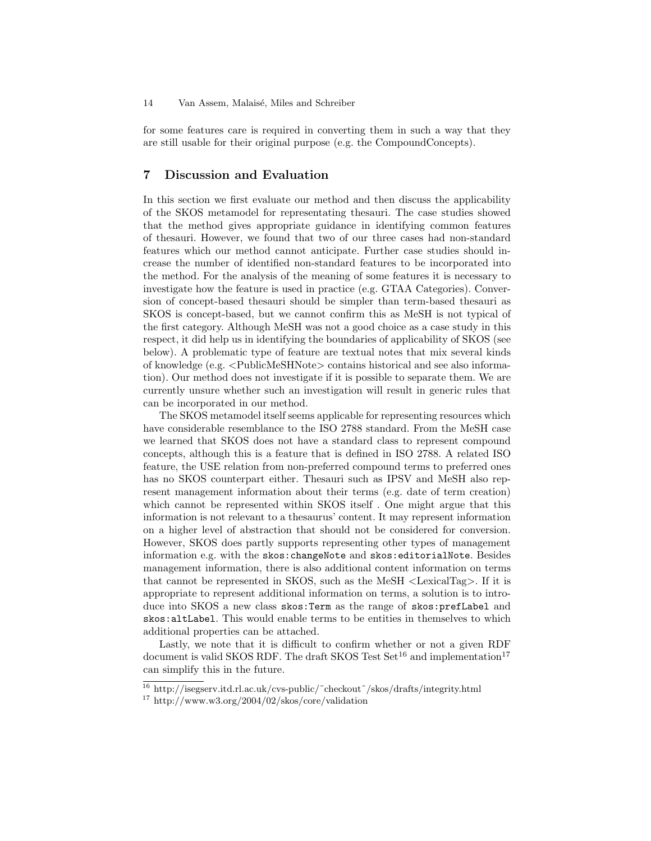for some features care is required in converting them in such a way that they are still usable for their original purpose (e.g. the CompoundConcepts).

# 7 Discussion and Evaluation

In this section we first evaluate our method and then discuss the applicability of the SKOS metamodel for representating thesauri. The case studies showed that the method gives appropriate guidance in identifying common features of thesauri. However, we found that two of our three cases had non-standard features which our method cannot anticipate. Further case studies should increase the number of identified non-standard features to be incorporated into the method. For the analysis of the meaning of some features it is necessary to investigate how the feature is used in practice (e.g. GTAA Categories). Conversion of concept-based thesauri should be simpler than term-based thesauri as SKOS is concept-based, but we cannot confirm this as MeSH is not typical of the first category. Although MeSH was not a good choice as a case study in this respect, it did help us in identifying the boundaries of applicability of SKOS (see below). A problematic type of feature are textual notes that mix several kinds of knowledge (e.g. <PublicMeSHNote> contains historical and see also information). Our method does not investigate if it is possible to separate them. We are currently unsure whether such an investigation will result in generic rules that can be incorporated in our method.

The SKOS metamodel itself seems applicable for representing resources which have considerable resemblance to the ISO 2788 standard. From the MeSH case we learned that SKOS does not have a standard class to represent compound concepts, although this is a feature that is defined in ISO 2788. A related ISO feature, the USE relation from non-preferred compound terms to preferred ones has no SKOS counterpart either. Thesauri such as IPSV and MeSH also represent management information about their terms (e.g. date of term creation) which cannot be represented within SKOS itself . One might argue that this information is not relevant to a thesaurus' content. It may represent information on a higher level of abstraction that should not be considered for conversion. However, SKOS does partly supports representing other types of management information e.g. with the skos:changeNote and skos:editorialNote. Besides management information, there is also additional content information on terms that cannot be represented in SKOS, such as the MeSH <LexicalTag>. If it is appropriate to represent additional information on terms, a solution is to introduce into SKOS a new class skos:Term as the range of skos:prefLabel and skos:altLabel. This would enable terms to be entities in themselves to which additional properties can be attached.

Lastly, we note that it is difficult to confirm whether or not a given RDF document is valid SKOS RDF. The draft SKOS Test Set<sup>16</sup> and implementation<sup>17</sup> can simplify this in the future.

<sup>&</sup>lt;sup>16</sup> http://isegserv.itd.rl.ac.uk/cvs-public/~checkout~/skos/drafts/integrity.html

<sup>17</sup> http://www.w3.org/2004/02/skos/core/validation